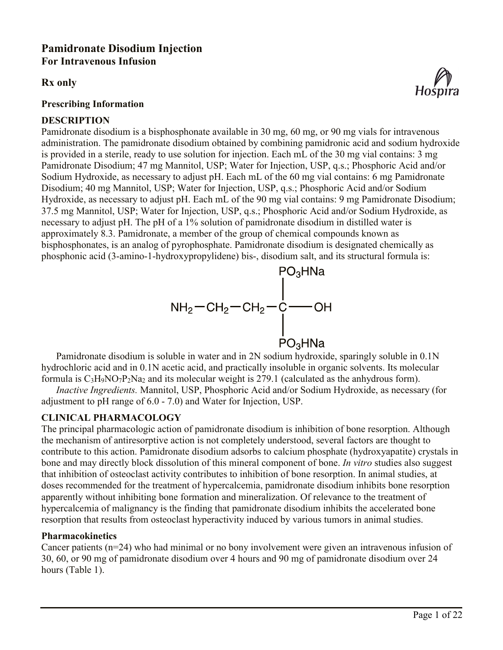# **Pamidronate Disodium Injection For Intravenous Infusion**

# **Rx only**

## **Prescribing Information**

## **DESCRIPTION**

Pamidronate disodium is a bisphosphonate available in 30 mg, 60 mg, or 90 mg vials for intravenous administration. The pamidronate disodium obtained by combining pamidronic acid and sodium hydroxide is provided in a sterile, ready to use solution for injection. Each mL of the 30 mg vial contains: 3 mg Pamidronate Disodium; 47 mg Mannitol, USP; Water for Injection, USP, q.s.; Phosphoric Acid and/or Sodium Hydroxide, as necessary to adjust pH. Each mL of the 60 mg vial contains: 6 mg Pamidronate Disodium; 40 mg Mannitol, USP; Water for Injection, USP, q.s.; Phosphoric Acid and/or Sodium Hydroxide, as necessary to adjust pH. Each mL of the 90 mg vial contains: 9 mg Pamidronate Disodium; 37.5 mg Mannitol, USP; Water for Injection, USP, q.s.; Phosphoric Acid and/or Sodium Hydroxide, as necessary to adjust pH. The pH of a 1% solution of pamidronate disodium in distilled water is approximately 8.3. Pamidronate, a member of the group of chemical compounds known as bisphosphonates, is an analog of pyrophosphate. Pamidronate disodium is designated chemically as



Pamidronate disodium is soluble in water and in 2N sodium hydroxide, sparingly soluble in 0.1N hydrochloric acid and in 0.1N acetic acid, and practically insoluble in organic solvents. Its molecular formula is  $C_3H_9NO_7P_2Na_2$  and its molecular weight is 279.1 (calculated as the anhydrous form).

*Inactive Ingredients.* Mannitol, USP, Phosphoric Acid and/or Sodium Hydroxide, as necessary (for adjustment to pH range of 6.0 - 7.0) and Water for Injection, USP.

# **CLINICAL PHARMACOLOGY**

The principal pharmacologic action of pamidronate disodium is inhibition of bone resorption. Although the mechanism of antiresorptive action is not completely understood, several factors are thought to contribute to this action. Pamidronate disodium adsorbs to calcium phosphate (hydroxyapatite) crystals in bone and may directly block dissolution of this mineral component of bone. *In vitro* studies also suggest that inhibition of osteoclast activity contributes to inhibition of bone resorption. In animal studies, at doses recommended for the treatment of hypercalcemia, pamidronate disodium inhibits bone resorption apparently without inhibiting bone formation and mineralization. Of relevance to the treatment of hypercalcemia of malignancy is the finding that pamidronate disodium inhibits the accelerated bone resorption that results from osteoclast hyperactivity induced by various tumors in animal studies.

## **Pharmacokinetics**

Cancer patients (n=24) who had minimal or no bony involvement were given an intravenous infusion of 30, 60, or 90 mg of pamidronate disodium over 4 hours and 90 mg of pamidronate disodium over 24 hours (Table 1).

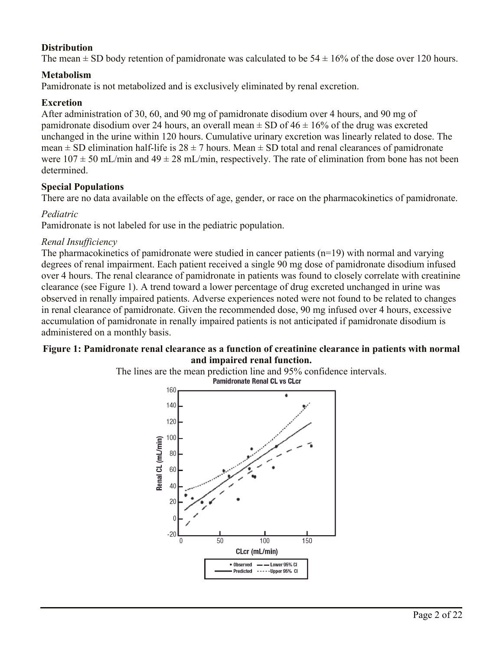# **Distribution**

The mean  $\pm$  SD body retention of pamidronate was calculated to be 54  $\pm$  16% of the dose over 120 hours.

# **Metabolism**

Pamidronate is not metabolized and is exclusively eliminated by renal excretion.

## **Excretion**

After administration of 30, 60, and 90 mg of pamidronate disodium over 4 hours, and 90 mg of pamidronate disodium over 24 hours, an overall mean  $\pm$  SD of 46  $\pm$  16% of the drug was excreted unchanged in the urine within 120 hours. Cumulative urinary excretion was linearly related to dose. The mean  $\pm$  SD elimination half-life is 28  $\pm$  7 hours. Mean  $\pm$  SD total and renal clearances of pamidronate were  $107 \pm 50$  mL/min and  $49 \pm 28$  mL/min, respectively. The rate of elimination from bone has not been determined.

## **Special Populations**

There are no data available on the effects of age, gender, or race on the pharmacokinetics of pamidronate.

# *Pediatric*

Pamidronate is not labeled for use in the pediatric population.

## *Renal Insufficiency*

The pharmacokinetics of pamidronate were studied in cancer patients  $(n=19)$  with normal and varying degrees of renal impairment. Each patient received a single 90 mg dose of pamidronate disodium infused over 4 hours. The renal clearance of pamidronate in patients was found to closely correlate with creatinine clearance (see Figure 1). A trend toward a lower percentage of drug excreted unchanged in urine was observed in renally impaired patients. Adverse experiences noted were not found to be related to changes in renal clearance of pamidronate. Given the recommended dose, 90 mg infused over 4 hours, excessive accumulation of pamidronate in renally impaired patients is not anticipated if pamidronate disodium is administered on a monthly basis.

### **Figure 1: Pamidronate renal clearance as a function of creatinine clearance in patients with normal and impaired renal function.**

The lines are the mean prediction line and 95% confidence intervals.<br>Pamidronate Renal CL vs CLcr

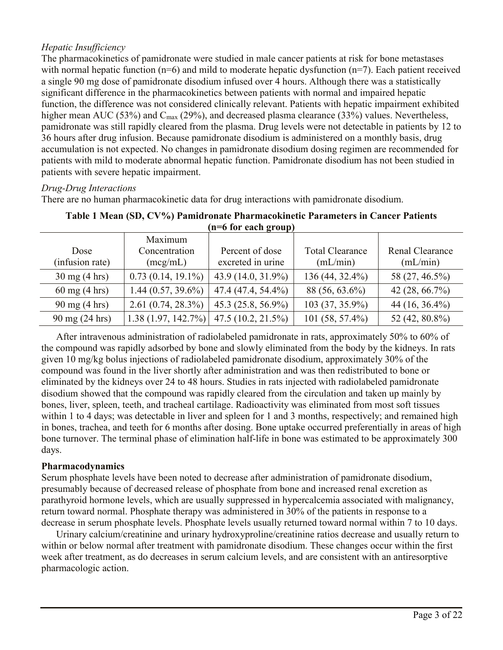# *Hepatic Insufficiency*

The pharmacokinetics of pamidronate were studied in male cancer patients at risk for bone metastases with normal hepatic function ( $n=6$ ) and mild to moderate hepatic dysfunction ( $n=7$ ). Each patient received a single 90 mg dose of pamidronate disodium infused over 4 hours. Although there was a statistically significant difference in the pharmacokinetics between patients with normal and impaired hepatic function, the difference was not considered clinically relevant. Patients with hepatic impairment exhibited higher mean AUC (53%) and  $C_{\text{max}}$  (29%), and decreased plasma clearance (33%) values. Nevertheless, pamidronate was still rapidly cleared from the plasma. Drug levels were not detectable in patients by 12 to 36 hours after drug infusion. Because pamidronate disodium is administered on a monthly basis, drug accumulation is not expected. No changes in pamidronate disodium dosing regimen are recommended for patients with mild to moderate abnormal hepatic function. Pamidronate disodium has not been studied in patients with severe hepatic impairment.

### *Drug-Drug Interactions*

There are no human pharmacokinetic data for drug interactions with pamidronate disodium.

|                                  |                       | (11–0 IOI CACII 21 OUP) |                        |                   |
|----------------------------------|-----------------------|-------------------------|------------------------|-------------------|
|                                  | Maximum               |                         |                        |                   |
| Dose                             | Concentration         | Percent of dose         | <b>Total Clearance</b> | Renal Clearance   |
| (infusion rate)                  | (meg/mL)              | excreted in urine       | (mL/min)               | (mL/min)          |
| $30 \text{ mg} (4 \text{ hrs})$  | $0.73(0.14, 19.1\%)$  | 43.9 (14.0, 31.9%)      | 136 (44, 32.4%)        | 58 (27, 46.5%)    |
| $60 \text{ mg}$ (4 hrs)          | $1.44(0.57, 39.6\%)$  | 47.4 (47.4, 54.4%)      | 88 (56, 63.6%)         | 42 $(28, 66.7\%)$ |
| $90 \text{ mg} (4 \text{ hrs})$  | $2.61(0.74, 28.3\%)$  | 45.3 (25.8, 56.9%)      | 103 (37, 35.9%)        | 44 (16, 36.4%)    |
| $90 \text{ mg} (24 \text{ hrs})$ | $1.38(1.97, 142.7\%)$ | $47.5(10.2, 21.5\%)$    | $101(58, 57.4\%)$      | 52 (42, 80.8%)    |

**Table 1 Mean (SD, CV%) Pamidronate Pharmacokinetic Parameters in Cancer Patients (n=6 for each group)**

After intravenous administration of radiolabeled pamidronate in rats, approximately 50% to 60% of the compound was rapidly adsorbed by bone and slowly eliminated from the body by the kidneys. In rats given 10 mg/kg bolus injections of radiolabeled pamidronate disodium, approximately 30% of the compound was found in the liver shortly after administration and was then redistributed to bone or eliminated by the kidneys over 24 to 48 hours. Studies in rats injected with radiolabeled pamidronate disodium showed that the compound was rapidly cleared from the circulation and taken up mainly by bones, liver, spleen, teeth, and tracheal cartilage. Radioactivity was eliminated from most soft tissues within 1 to 4 days; was detectable in liver and spleen for 1 and 3 months, respectively; and remained high in bones, trachea, and teeth for 6 months after dosing. Bone uptake occurred preferentially in areas of high bone turnover. The terminal phase of elimination half-life in bone was estimated to be approximately 300 days.

## **Pharmacodynamics**

Serum phosphate levels have been noted to decrease after administration of pamidronate disodium, presumably because of decreased release of phosphate from bone and increased renal excretion as parathyroid hormone levels, which are usually suppressed in hypercalcemia associated with malignancy, return toward normal. Phosphate therapy was administered in 30% of the patients in response to a decrease in serum phosphate levels. Phosphate levels usually returned toward normal within 7 to 10 days.

Urinary calcium/creatinine and urinary hydroxyproline/creatinine ratios decrease and usually return to within or below normal after treatment with pamidronate disodium. These changes occur within the first week after treatment, as do decreases in serum calcium levels, and are consistent with an antiresorptive pharmacologic action.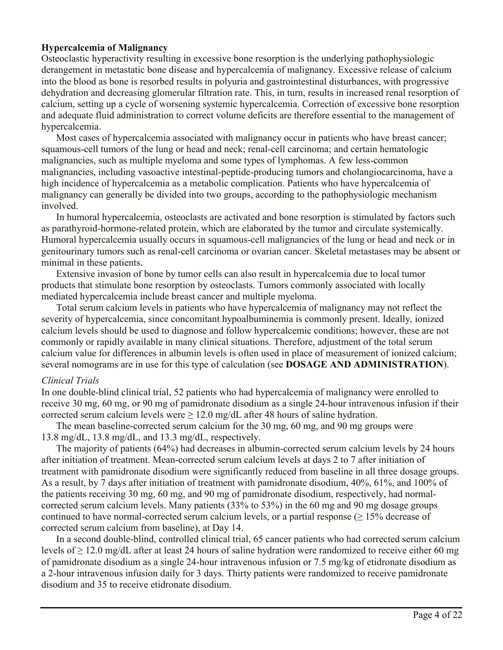## **Hypercalcemia of Malignancy**

Osteoclastic hyperactivity resulting in excessive bone resorption is the underlying pathophysiologic derangement in metastatic bone disease and hypercalcemia of malignancy. Excessive release of calcium into the blood as bone is resorbed results in polyuria and gastrointestinal disturbances, with progressive dehydration and decreasing glomerular filtration rate. This, in turn, results in increased renal resorption of calcium, setting up a cycle of worsening systemic hypercalcemia. Correction of excessive bone resorption and adequate fluid administration to correct volume deficits are therefore essential to the management of hypercalcemia.

Most cases of hypercalcemia associated with malignancy occur in patients who have breast cancer; squamous-cell tumors of the lung or head and neck; renal-cell carcinoma; and certain hematologic malignancies, such as multiple myeloma and some types of lymphomas. A few less-common malignancies, including vasoactive intestinal-peptide-producing tumors and cholangiocarcinoma, have a high incidence of hypercalcemia as a metabolic complication. Patients who have hypercalcemia of malignancy can generally be divided into two groups, according to the pathophysiologic mechanism involved.

In humoral hypercalcemia, osteoclasts are activated and bone resorption is stimulated by factors such as parathyroid-hormone-related protein, which are elaborated by the tumor and circulate systemically. Humoral hypercalcemia usually occurs in squamous-cell malignancies of the lung or head and neck or in genitourinary tumors such as renal-cell carcinoma or ovarian cancer. Skeletal metastases may be absent or minimal in these patients.

Extensive invasion of bone by tumor cells can also result in hypercalcemia due to local tumor products that stimulate bone resorption by osteoclasts. Tumors commonly associated with locally mediated hypercalcemia include breast cancer and multiple myeloma.

Total serum calcium levels in patients who have hypercalcemia of malignancy may not reflect the severity of hypercalcemia, since concomitant hypoalbuminemia is commonly present. Ideally, ionized calcium levels should be used to diagnose and follow hypercalcemic conditions; however, these are not commonly or rapidly available in many clinical situations. Therefore, adjustment of the total serum calcium value for differences in albumin levels is often used in place of measurement of ionized calcium; several nomograms are in use for this type of calculation (see **DOSAGE AND ADMINISTRATION**).

#### *Clinical Trials*

In one double-blind clinical trial, 52 patients who had hypercalcemia of malignancy were enrolled to receive 30 mg, 60 mg, or 90 mg of pamidronate disodium as a single 24-hour intravenous infusion if their corrected serum calcium levels were  $\geq 12.0$  mg/dL after 48 hours of saline hydration.

The mean baseline-corrected serum calcium for the 30 mg, 60 mg, and 90 mg groups were 13.8 mg/dL, 13.8 mg/dL, and 13.3 mg/dL, respectively.

The majority of patients (64%) had decreases in albumin-corrected serum calcium levels by 24 hours after initiation of treatment. Mean-corrected serum calcium levels at days 2 to 7 after initiation of treatment with pamidronate disodium were significantly reduced from baseline in all three dosage groups. As a result, by 7 days after initiation of treatment with pamidronate disodium, 40%, 61%, and 100% of the patients receiving 30 mg, 60 mg, and 90 mg of pamidronate disodium, respectively, had normalcorrected serum calcium levels. Many patients (33% to 53%) in the 60 mg and 90 mg dosage groups continued to have normal-corrected serum calcium levels, or a partial response  $(≥ 15%$  decrease of corrected serum calcium from baseline), at Day 14.

In a second double-blind, controlled clinical trial, 65 cancer patients who had corrected serum calcium levels of  $\geq 12.0$  mg/dL after at least 24 hours of saline hydration were randomized to receive either 60 mg of pamidronate disodium as a single 24-hour intravenous infusion or 7.5 mg/kg of etidronate disodium as a 2-hour intravenous infusion daily for 3 days. Thirty patients were randomized to receive pamidronate disodium and 35 to receive etidronate disodium.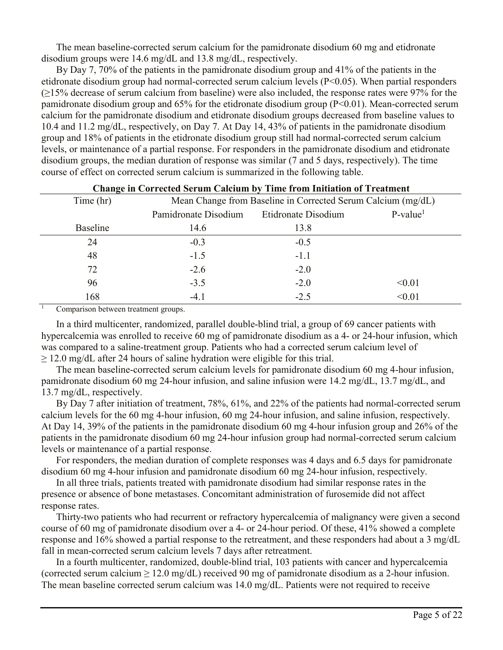The mean baseline-corrected serum calcium for the pamidronate disodium 60 mg and etidronate disodium groups were 14.6 mg/dL and 13.8 mg/dL, respectively.

By Day 7, 70% of the patients in the pamidronate disodium group and 41% of the patients in the etidronate disodium group had normal-corrected serum calcium levels (P<0.05). When partial responders (≥15% decrease of serum calcium from baseline) were also included, the response rates were 97% for the pamidronate disodium group and 65% for the etidronate disodium group (P<0.01). Mean-corrected serum calcium for the pamidronate disodium and etidronate disodium groups decreased from baseline values to 10.4 and 11.2 mg/dL, respectively, on Day 7. At Day 14, 43% of patients in the pamidronate disodium group and 18% of patients in the etidronate disodium group still had normal-corrected serum calcium levels, or maintenance of a partial response. For responders in the pamidronate disodium and etidronate disodium groups, the median duration of response was similar (7 and 5 days, respectively). The time course of effect on corrected serum calcium is summarized in the following table.

|           | Change in Corrected Serum Calcium by Time from Initiation of Treatment |                                                              |            |  |  |  |  |
|-----------|------------------------------------------------------------------------|--------------------------------------------------------------|------------|--|--|--|--|
| Time (hr) |                                                                        | Mean Change from Baseline in Corrected Serum Calcium (mg/dL) |            |  |  |  |  |
|           | Pamidronate Disodium                                                   | Etidronate Disodium                                          | $P-value1$ |  |  |  |  |
| Baseline  | 14.6                                                                   | 13.8                                                         |            |  |  |  |  |
| 24        | $-0.3$                                                                 | $-0.5$                                                       |            |  |  |  |  |
| 48        | $-1.5$                                                                 | $-1.1$                                                       |            |  |  |  |  |
| 72        | $-2.6$                                                                 | $-2.0$                                                       |            |  |  |  |  |
| 96        | $-3.5$                                                                 | $-2.0$                                                       | < 0.01     |  |  |  |  |
| 168       | $-4.1$                                                                 | $-2.5$                                                       | < 0.01     |  |  |  |  |

**Change in Corrected Serum Calcium by Time from Initiation of Treatment**

<sup>1</sup> Comparison between treatment groups.

In a third multicenter, randomized, parallel double-blind trial, a group of 69 cancer patients with hypercalcemia was enrolled to receive 60 mg of pamidronate disodium as a 4- or 24-hour infusion, which was compared to a saline-treatment group. Patients who had a corrected serum calcium level of  $\geq$  12.0 mg/dL after 24 hours of saline hydration were eligible for this trial.

The mean baseline-corrected serum calcium levels for pamidronate disodium 60 mg 4-hour infusion, pamidronate disodium 60 mg 24-hour infusion, and saline infusion were 14.2 mg/dL, 13.7 mg/dL, and 13.7 mg/dL, respectively.

By Day 7 after initiation of treatment, 78%, 61%, and 22% of the patients had normal-corrected serum calcium levels for the 60 mg 4-hour infusion, 60 mg 24-hour infusion, and saline infusion, respectively. At Day 14, 39% of the patients in the pamidronate disodium 60 mg 4-hour infusion group and 26% of the patients in the pamidronate disodium 60 mg 24-hour infusion group had normal-corrected serum calcium levels or maintenance of a partial response.

For responders, the median duration of complete responses was 4 days and 6.5 days for pamidronate disodium 60 mg 4-hour infusion and pamidronate disodium 60 mg 24-hour infusion, respectively.

In all three trials, patients treated with pamidronate disodium had similar response rates in the presence or absence of bone metastases. Concomitant administration of furosemide did not affect response rates.

Thirty-two patients who had recurrent or refractory hypercalcemia of malignancy were given a second course of 60 mg of pamidronate disodium over a 4- or 24-hour period. Of these, 41% showed a complete response and 16% showed a partial response to the retreatment, and these responders had about a 3 mg/dL fall in mean-corrected serum calcium levels 7 days after retreatment.

In a fourth multicenter, randomized, double-blind trial, 103 patients with cancer and hypercalcemia (corrected serum calcium  $\geq 12.0$  mg/dL) received 90 mg of pamidronate disodium as a 2-hour infusion. The mean baseline corrected serum calcium was 14.0 mg/dL. Patients were not required to receive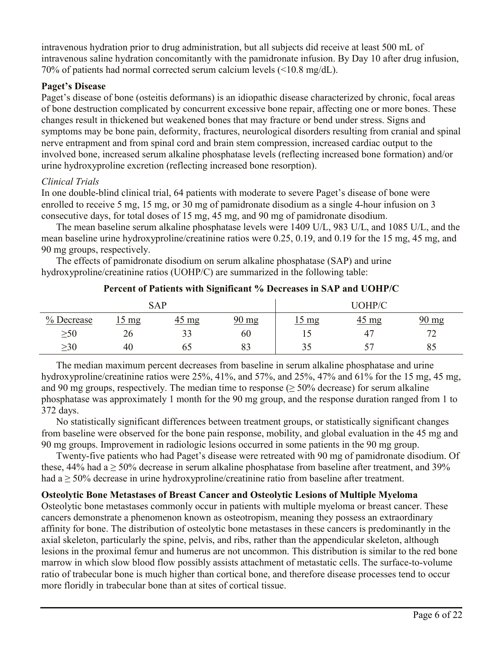intravenous hydration prior to drug administration, but all subjects did receive at least 500 mL of intravenous saline hydration concomitantly with the pamidronate infusion. By Day 10 after drug infusion, 70% of patients had normal corrected serum calcium levels (<10.8 mg/dL).

# **Paget's Disease**

Paget's disease of bone (osteitis deformans) is an idiopathic disease characterized by chronic, focal areas of bone destruction complicated by concurrent excessive bone repair, affecting one or more bones. These changes result in thickened but weakened bones that may fracture or bend under stress. Signs and symptoms may be bone pain, deformity, fractures, neurological disorders resulting from cranial and spinal nerve entrapment and from spinal cord and brain stem compression, increased cardiac output to the involved bone, increased serum alkaline phosphatase levels (reflecting increased bone formation) and/or urine hydroxyproline excretion (reflecting increased bone resorption).

# *Clinical Trials*

In one double-blind clinical trial, 64 patients with moderate to severe Paget's disease of bone were enrolled to receive 5 mg, 15 mg, or 30 mg of pamidronate disodium as a single 4-hour infusion on 3 consecutive days, for total doses of 15 mg, 45 mg, and 90 mg of pamidronate disodium.

The mean baseline serum alkaline phosphatase levels were 1409 U/L, 983 U/L, and 1085 U/L, and the mean baseline urine hydroxyproline/creatinine ratios were 0.25, 0.19, and 0.19 for the 15 mg, 45 mg, and 90 mg groups, respectively.

The effects of pamidronate disodium on serum alkaline phosphatase (SAP) and urine hydroxyproline/creatinine ratios (UOHP/C) are summarized in the following table:

|            |                 | SAP                       |                 |                           | UOHP/C                    |                 |
|------------|-----------------|---------------------------|-----------------|---------------------------|---------------------------|-----------------|
| % Decrease | $15 \text{ mg}$ | $\frac{45 \text{ mg}}{2}$ | $90 \text{ mg}$ | $\frac{15 \text{ mg}}{2}$ | $\frac{45 \text{ mg}}{2}$ | $90 \text{ mg}$ |
| $\geq 50$  | 26              | 33                        | 60              |                           | $4^{\circ}$               | 72              |
| $\geq 30$  | 40              | ნა                        | 83              | 35                        | $5^{\circ}$               | 85              |

## **Percent of Patients with Significant % Decreases in SAP and UOHP/C**

The median maximum percent decreases from baseline in serum alkaline phosphatase and urine hydroxyproline/creatinine ratios were 25%, 41%, and 57%, and 25%, 47% and 61% for the 15 mg, 45 mg, and 90 mg groups, respectively. The median time to response ( $\geq$  50% decrease) for serum alkaline phosphatase was approximately 1 month for the 90 mg group, and the response duration ranged from 1 to 372 days.

No statistically significant differences between treatment groups, or statistically significant changes from baseline were observed for the bone pain response, mobility, and global evaluation in the 45 mg and 90 mg groups. Improvement in radiologic lesions occurred in some patients in the 90 mg group.

Twenty-five patients who had Paget's disease were retreated with 90 mg of pamidronate disodium. Of these, 44% had a  $\geq$  50% decrease in serum alkaline phosphatase from baseline after treatment, and 39% had  $a \geq 50\%$  decrease in urine hydroxyproline/creatinine ratio from baseline after treatment.

# **Osteolytic Bone Metastases of Breast Cancer and Osteolytic Lesions of Multiple Myeloma**

Osteolytic bone metastases commonly occur in patients with multiple myeloma or breast cancer. These cancers demonstrate a phenomenon known as osteotropism, meaning they possess an extraordinary affinity for bone. The distribution of osteolytic bone metastases in these cancers is predominantly in the axial skeleton, particularly the spine, pelvis, and ribs, rather than the appendicular skeleton, although lesions in the proximal femur and humerus are not uncommon. This distribution is similar to the red bone marrow in which slow blood flow possibly assists attachment of metastatic cells. The surface-to-volume ratio of trabecular bone is much higher than cortical bone, and therefore disease processes tend to occur more floridly in trabecular bone than at sites of cortical tissue.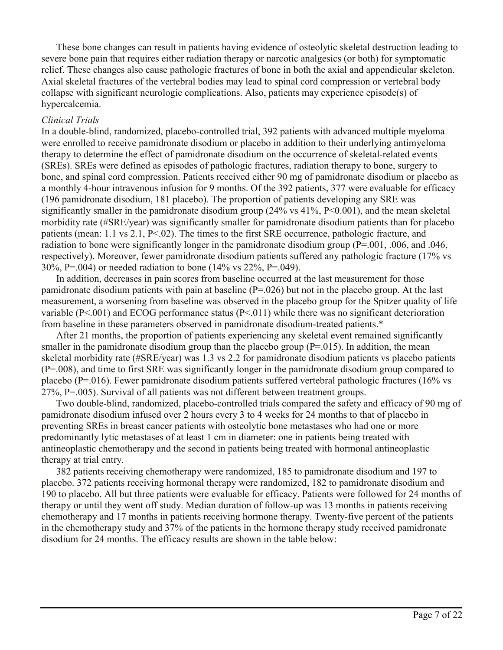These bone changes can result in patients having evidence of osteolytic skeletal destruction leading to severe bone pain that requires either radiation therapy or narcotic analgesics (or both) for symptomatic relief. These changes also cause pathologic fractures of bone in both the axial and appendicular skeleton. Axial skeletal fractures of the vertebral bodies may lead to spinal cord compression or vertebral body collapse with significant neurologic complications. Also, patients may experience episode(s) of hypercalcemia.

## *Clinical Trials*

In a double-blind, randomized, placebo-controlled trial, 392 patients with advanced multiple myeloma were enrolled to receive pamidronate disodium or placebo in addition to their underlying antimyeloma therapy to determine the effect of pamidronate disodium on the occurrence of skeletal-related events (SREs). SREs were defined as episodes of pathologic fractures, radiation therapy to bone, surgery to bone, and spinal cord compression. Patients received either 90 mg of pamidronate disodium or placebo as a monthly 4-hour intravenous infusion for 9 months. Of the 392 patients, 377 were evaluable for efficacy (196 pamidronate disodium, 181 placebo). The proportion of patients developing any SRE was significantly smaller in the pamidronate disodium group  $(24\% \text{ vs } 41\%, P<0.001)$ , and the mean skeletal morbidity rate (#SRE/year) was significantly smaller for pamidronate disodium patients than for placebo patients (mean: 1.1 vs 2.1, P<.02). The times to the first SRE occurrence, pathologic fracture, and radiation to bone were significantly longer in the pamidronate disodium group (P=.001, .006, and .046, respectively). Moreover, fewer pamidronate disodium patients suffered any pathologic fracture (17% vs 30%, P=.004) or needed radiation to bone (14% vs 22%, P=.049).

In addition, decreases in pain scores from baseline occurred at the last measurement for those pamidronate disodium patients with pain at baseline (P=.026) but not in the placebo group. At the last measurement, a worsening from baseline was observed in the placebo group for the Spitzer quality of life variable (P<.001) and ECOG performance status (P<.011) while there was no significant deterioration from baseline in these parameters observed in pamidronate disodium-treated patients.\*

After 21 months, the proportion of patients experiencing any skeletal event remained significantly smaller in the pamidronate disodium group than the placebo group  $(P=.015)$ . In addition, the mean skeletal morbidity rate (#SRE/year) was 1.3 vs 2.2 for pamidronate disodium patients vs placebo patients (P=.008), and time to first SRE was significantly longer in the pamidronate disodium group compared to placebo (P=.016). Fewer pamidronate disodium patients suffered vertebral pathologic fractures (16% vs 27%, P=.005). Survival of all patients was not different between treatment groups.

Two double-blind, randomized, placebo-controlled trials compared the safety and efficacy of 90 mg of pamidronate disodium infused over 2 hours every 3 to 4 weeks for 24 months to that of placebo in preventing SREs in breast cancer patients with osteolytic bone metastases who had one or more predominantly lytic metastases of at least 1 cm in diameter: one in patients being treated with antineoplastic chemotherapy and the second in patients being treated with hormonal antineoplastic therapy at trial entry.

382 patients receiving chemotherapy were randomized, 185 to pamidronate disodium and 197 to placebo. 372 patients receiving hormonal therapy were randomized, 182 to pamidronate disodium and 190 to placebo. All but three patients were evaluable for efficacy. Patients were followed for 24 months of therapy or until they went off study. Median duration of follow-up was 13 months in patients receiving chemotherapy and 17 months in patients receiving hormone therapy. Twenty-five percent of the patients in the chemotherapy study and 37% of the patients in the hormone therapy study received pamidronate disodium for 24 months. The efficacy results are shown in the table below: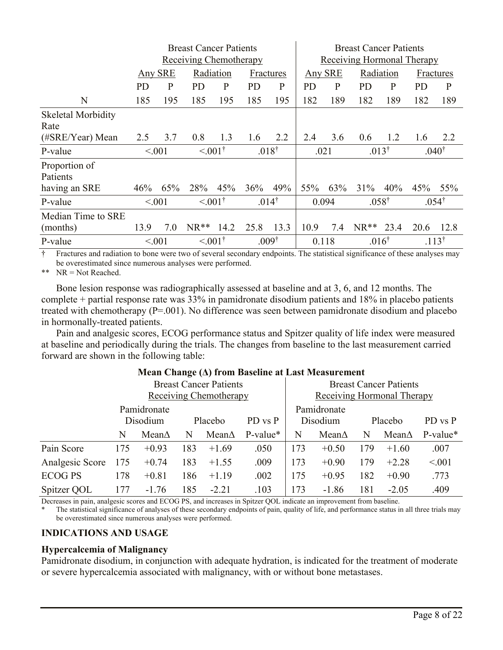|                           | <b>Breast Cancer Patients</b> |              |                        |                       |      |                  | <b>Breast Cancer Patients</b>     |              |                  |                  |      |                  |
|---------------------------|-------------------------------|--------------|------------------------|-----------------------|------|------------------|-----------------------------------|--------------|------------------|------------------|------|------------------|
|                           |                               |              | Receiving Chemotherapy |                       |      |                  | <b>Receiving Hormonal Therapy</b> |              |                  |                  |      |                  |
|                           |                               | Any SRE      | Radiation              |                       |      | Fractures        |                                   | Any SRE      | Radiation        |                  |      | Fractures        |
|                           | <b>PD</b>                     | $\mathbf{P}$ | PD                     | $\mathbf{P}$          | PD   | $\mathbf{P}$     | PD                                | $\mathbf{P}$ | PD               | $\mathbf{P}$     | PD   | $\mathbf{P}$     |
| N                         | 185                           | 195          | 185                    | 195                   | 185  | 195              | 182                               | 189          | 182              | 189              | 182  | 189              |
| <b>Skeletal Morbidity</b> |                               |              |                        |                       |      |                  |                                   |              |                  |                  |      |                  |
| Rate                      |                               |              |                        |                       |      |                  |                                   |              |                  |                  |      |                  |
| (#SRE/Year) Mean          | 2.5                           | 3.7          | 0.8                    | 1.3                   | 1.6  | 2.2              | 2.4                               | 3.6          | 0.6              | 1.2              | 1.6  | 2.2              |
| P-value                   |                               | < 0.01       |                        | $\leq 0.01^{\dagger}$ |      | $.018^{\dagger}$ |                                   | .021         |                  | $.013^{\dagger}$ |      | $.040^{\dagger}$ |
|                           |                               |              |                        |                       |      |                  |                                   |              |                  |                  |      |                  |
| Proportion of             |                               |              |                        |                       |      |                  |                                   |              |                  |                  |      |                  |
| Patients                  |                               |              |                        |                       |      |                  |                                   |              |                  |                  |      |                  |
| having an SRE             | 46%                           | 65%          | 28%                    | 45%                   | 36%  | 49%              | 55%                               | 63%          | $31\%$           | 40%              | 45%  | 55%              |
| P-value                   | < 0.01                        |              | $\leq 0.01^{\dagger}$  |                       |      | $.014^{\dagger}$ |                                   | 0.094        | $.058^{\dagger}$ |                  |      | $.054^{\dagger}$ |
| Median Time to SRE        |                               |              |                        |                       |      |                  |                                   |              |                  |                  |      |                  |
| (months)                  | 13.9                          | 7.0          | $NR**$                 | 14.2                  | 25.8 | 13.3             | 10.9                              | 7.4          | $NR**$           | 23.4             | 20.6 | 12.8             |

† Fractures and radiation to bone were two of several secondary endpoints. The statistical significance of these analyses may be overestimated since numerous analyses were performed.

\*\* NR = Not Reached.

Bone lesion response was radiographically assessed at baseline and at 3, 6, and 12 months. The complete + partial response rate was 33% in pamidronate disodium patients and 18% in placebo patients treated with chemotherapy (P=.001). No difference was seen between pamidronate disodium and placebo in hormonally-treated patients.

Pain and analgesic scores, ECOG performance status and Spitzer quality of life index were measured at baseline and periodically during the trials. The changes from baseline to the last measurement carried forward are shown in the following table:

| <b>THE CHAIRS (2) IT OUT DROVEILLY BY 2000V THE CHILD OF</b> |                                                         |                         |     |               |            |                            |                         |                               |               |          |
|--------------------------------------------------------------|---------------------------------------------------------|-------------------------|-----|---------------|------------|----------------------------|-------------------------|-------------------------------|---------------|----------|
|                                                              | <b>Breast Cancer Patients</b><br>Receiving Chemotherapy |                         |     |               |            | Receiving Hormonal Therapy |                         | <b>Breast Cancer Patients</b> |               |          |
|                                                              |                                                         | Pamidronate<br>Disodium |     | Placebo       | PD vs P    |                            | Pamidronate<br>Disodium |                               | Placebo       | PD vs P  |
|                                                              | N                                                       | Mean $\Delta$           | N   | Mean $\Delta$ | $P-value*$ | N                          | Mean $\Delta$           | N                             | Mean $\Delta$ | P-value* |
| Pain Score                                                   | 175                                                     | $+0.93$                 | 183 | $+1.69$       | .050       | 173                        | $+0.50$                 | 179                           | $+1.60$       | .007     |
| Analgesic Score                                              | 175                                                     | $+0.74$                 | 183 | $+1.55$       | .009       | 173                        | $+0.90$                 | 179                           | $+2.28$       | < 0.01   |
| <b>ECOG PS</b>                                               | 178                                                     | $+0.81$                 | 186 | $+1.19$       | .002       | 175                        | $+0.95$                 | 182                           | $+0.90$       | .773     |
| Spitzer QOL                                                  | 177                                                     | $-1.76$                 | 185 | $-2.21$       | .103       | 173                        | $-1.86$                 | 181                           | $-2.05$       | .409     |

### **Mean Change (Δ) from Baseline at Last Measurement**

Decreases in pain, analgesic scores and ECOG PS, and increases in Spitzer QOL indicate an improvement from baseline.

The statistical significance of analyses of these secondary endpoints of pain, quality of life, and performance status in all three trials may be overestimated since numerous analyses were performed.

#### **INDICATIONS AND USAGE**

#### **Hypercalcemia of Malignancy**

Pamidronate disodium, in conjunction with adequate hydration, is indicated for the treatment of moderate or severe hypercalcemia associated with malignancy, with or without bone metastases.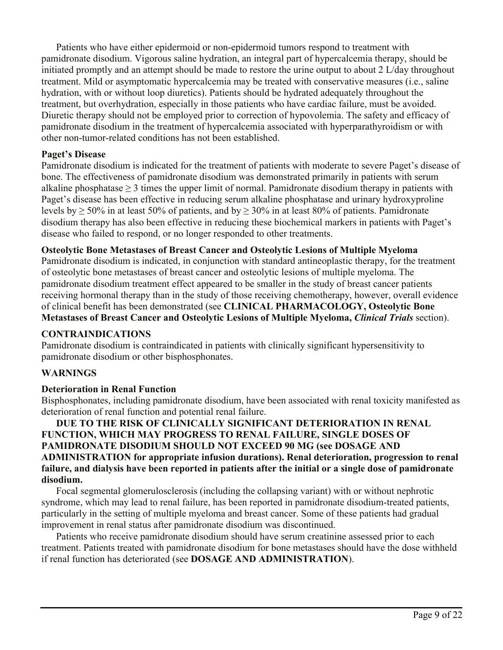Patients who have either epidermoid or non-epidermoid tumors respond to treatment with pamidronate disodium. Vigorous saline hydration, an integral part of hypercalcemia therapy, should be initiated promptly and an attempt should be made to restore the urine output to about 2 L/day throughout treatment. Mild or asymptomatic hypercalcemia may be treated with conservative measures (i.e., saline hydration, with or without loop diuretics). Patients should be hydrated adequately throughout the treatment, but overhydration, especially in those patients who have cardiac failure, must be avoided. Diuretic therapy should not be employed prior to correction of hypovolemia. The safety and efficacy of pamidronate disodium in the treatment of hypercalcemia associated with hyperparathyroidism or with other non-tumor-related conditions has not been established.

## **Paget's Disease**

Pamidronate disodium is indicated for the treatment of patients with moderate to severe Paget's disease of bone. The effectiveness of pamidronate disodium was demonstrated primarily in patients with serum alkaline phosphatase  $\geq 3$  times the upper limit of normal. Pamidronate disodium therapy in patients with Paget's disease has been effective in reducing serum alkaline phosphatase and urinary hydroxyproline levels by  $\geq$  50% in at least 50% of patients, and by  $\geq$  30% in at least 80% of patients. Pamidronate disodium therapy has also been effective in reducing these biochemical markers in patients with Paget's disease who failed to respond, or no longer responded to other treatments.

### **Osteolytic Bone Metastases of Breast Cancer and Osteolytic Lesions of Multiple Myeloma**

Pamidronate disodium is indicated, in conjunction with standard antineoplastic therapy, for the treatment of osteolytic bone metastases of breast cancer and osteolytic lesions of multiple myeloma. The pamidronate disodium treatment effect appeared to be smaller in the study of breast cancer patients receiving hormonal therapy than in the study of those receiving chemotherapy, however, overall evidence of clinical benefit has been demonstrated (see **CLINICAL PHARMACOLOGY, Osteolytic Bone Metastases of Breast Cancer and Osteolytic Lesions of Multiple Myeloma,** *Clinical Trials* section).

## **CONTRAINDICATIONS**

Pamidronate disodium is contraindicated in patients with clinically significant hypersensitivity to pamidronate disodium or other bisphosphonates.

## **WARNINGS**

#### **Deterioration in Renal Function**

Bisphosphonates, including pamidronate disodium, have been associated with renal toxicity manifested as deterioration of renal function and potential renal failure.

## **DUE TO THE RISK OF CLINICALLY SIGNIFICANT DETERIORATION IN RENAL FUNCTION, WHICH MAY PROGRESS TO RENAL FAILURE, SINGLE DOSES OF PAMIDRONATE DISODIUM SHOULD NOT EXCEED 90 MG (see DOSAGE AND ADMINISTRATION for appropriate infusion durations). Renal deterioration, progression to renal failure, and dialysis have been reported in patients after the initial or a single dose of pamidronate disodium.**

Focal segmental glomerulosclerosis (including the collapsing variant) with or without nephrotic syndrome, which may lead to renal failure, has been reported in pamidronate disodium-treated patients, particularly in the setting of multiple myeloma and breast cancer. Some of these patients had gradual improvement in renal status after pamidronate disodium was discontinued.

Patients who receive pamidronate disodium should have serum creatinine assessed prior to each treatment. Patients treated with pamidronate disodium for bone metastases should have the dose withheld if renal function has deteriorated (see **DOSAGE AND ADMINISTRATION**).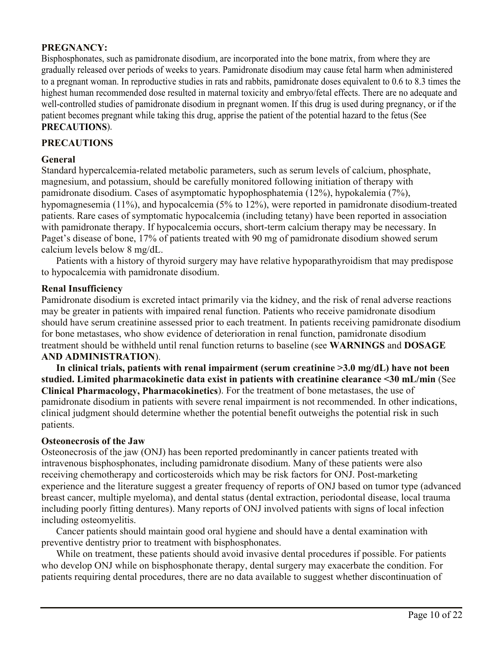# **PREGNANCY:**

Bisphosphonates, such as pamidronate disodium, are incorporated into the bone matrix, from where they are gradually released over periods of weeks to years. Pamidronate disodium may cause fetal harm when administered to a pregnant woman. In reproductive studies in rats and rabbits, pamidronate doses equivalent to 0.6 to 8.3 times the highest human recommended dose resulted in maternal toxicity and embryo/fetal effects. There are no adequate and well-controlled studies of pamidronate disodium in pregnant women. If this drug is used during pregnancy, or if the patient becomes pregnant while taking this drug, apprise the patient of the potential hazard to the fetus (See **PRECAUTIONS**).

## **PRECAUTIONS**

#### **General**

Standard hypercalcemia-related metabolic parameters, such as serum levels of calcium, phosphate, magnesium, and potassium, should be carefully monitored following initiation of therapy with pamidronate disodium. Cases of asymptomatic hypophosphatemia (12%), hypokalemia (7%), hypomagnesemia (11%), and hypocalcemia (5% to 12%), were reported in pamidronate disodium-treated patients. Rare cases of symptomatic hypocalcemia (including tetany) have been reported in association with pamidronate therapy. If hypocalcemia occurs, short-term calcium therapy may be necessary. In Paget's disease of bone, 17% of patients treated with 90 mg of pamidronate disodium showed serum calcium levels below 8 mg/dL.

Patients with a history of thyroid surgery may have relative hypoparathyroidism that may predispose to hypocalcemia with pamidronate disodium.

#### **Renal Insufficiency**

Pamidronate disodium is excreted intact primarily via the kidney, and the risk of renal adverse reactions may be greater in patients with impaired renal function. Patients who receive pamidronate disodium should have serum creatinine assessed prior to each treatment. In patients receiving pamidronate disodium for bone metastases, who show evidence of deterioration in renal function, pamidronate disodium treatment should be withheld until renal function returns to baseline (see **WARNINGS** and **DOSAGE AND ADMINISTRATION**).

**In clinical trials, patients with renal impairment (serum creatinine >3.0 mg/dL) have not been studied. Limited pharmacokinetic data exist in patients with creatinine clearance <30 mL/min** (See **Clinical Pharmacology, Pharmacokinetics**). For the treatment of bone metastases, the use of pamidronate disodium in patients with severe renal impairment is not recommended. In other indications, clinical judgment should determine whether the potential benefit outweighs the potential risk in such patients.

#### **Osteonecrosis of the Jaw**

Osteonecrosis of the jaw (ONJ) has been reported predominantly in cancer patients treated with intravenous bisphosphonates, including pamidronate disodium. Many of these patients were also receiving chemotherapy and corticosteroids which may be risk factors for ONJ. Post-marketing experience and the literature suggest a greater frequency of reports of ONJ based on tumor type (advanced breast cancer, multiple myeloma), and dental status (dental extraction, periodontal disease, local trauma including poorly fitting dentures). Many reports of ONJ involved patients with signs of local infection including osteomyelitis.

Cancer patients should maintain good oral hygiene and should have a dental examination with preventive dentistry prior to treatment with bisphosphonates.

While on treatment, these patients should avoid invasive dental procedures if possible. For patients who develop ONJ while on bisphosphonate therapy, dental surgery may exacerbate the condition. For patients requiring dental procedures, there are no data available to suggest whether discontinuation of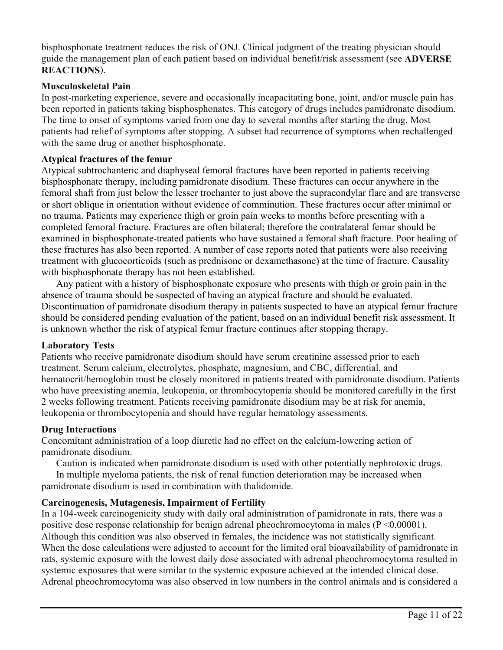bisphosphonate treatment reduces the risk of ONJ. Clinical judgment of the treating physician should guide the management plan of each patient based on individual benefit/risk assessment (see **ADVERSE REACTIONS**).

## **Musculoskeletal Pain**

In post-marketing experience, severe and occasionally incapacitating bone, joint, and/or muscle pain has been reported in patients taking bisphosphonates. This category of drugs includes pamidronate disodium. The time to onset of symptoms varied from one day to several months after starting the drug. Most patients had relief of symptoms after stopping. A subset had recurrence of symptoms when rechallenged with the same drug or another bisphosphonate.

## **Atypical fractures of the femur**

Atypical subtrochanteric and diaphyseal femoral fractures have been reported in patients receiving bisphosphonate therapy, including pamidronate disodium. These fractures can occur anywhere in the femoral shaft from just below the lesser trochanter to just above the supracondylar flare and are transverse or short oblique in orientation without evidence of comminution. These fractures occur after minimal or no trauma. Patients may experience thigh or groin pain weeks to months before presenting with a completed femoral fracture. Fractures are often bilateral; therefore the contralateral femur should be examined in bisphosphonate-treated patients who have sustained a femoral shaft fracture. Poor healing of these fractures has also been reported. A number of case reports noted that patients were also receiving treatment with glucocorticoids (such as prednisone or dexamethasone) at the time of fracture. Causality with bisphosphonate therapy has not been established.

Any patient with a history of bisphosphonate exposure who presents with thigh or groin pain in the absence of trauma should be suspected of having an atypical fracture and should be evaluated. Discontinuation of pamidronate disodium therapy in patients suspected to have an atypical femur fracture should be considered pending evaluation of the patient, based on an individual benefit risk assessment. It is unknown whether the risk of atypical femur fracture continues after stopping therapy.

## **Laboratory Tests**

Patients who receive pamidronate disodium should have serum creatinine assessed prior to each treatment. Serum calcium, electrolytes, phosphate, magnesium, and CBC, differential, and hematocrit/hemoglobin must be closely monitored in patients treated with pamidronate disodium. Patients who have preexisting anemia, leukopenia, or thrombocytopenia should be monitored carefully in the first 2 weeks following treatment. Patients receiving pamidronate disodium may be at risk for anemia, leukopenia or thrombocytopenia and should have regular hematology assessments.

## **Drug Interactions**

Concomitant administration of a loop diuretic had no effect on the calcium-lowering action of pamidronate disodium.

Caution is indicated when pamidronate disodium is used with other potentially nephrotoxic drugs.

In multiple myeloma patients, the risk of renal function deterioration may be increased when pamidronate disodium is used in combination with thalidomide.

## **Carcinogenesis, Mutagenesis, Impairment of Fertility**

In a 104-week carcinogenicity study with daily oral administration of pamidronate in rats, there was a positive dose response relationship for benign adrenal pheochromocytoma in males (P <0.00001). Although this condition was also observed in females, the incidence was not statistically significant. When the dose calculations were adjusted to account for the limited oral bioavailability of pamidronate in rats, systemic exposure with the lowest daily dose associated with adrenal pheochromocytoma resulted in systemic exposures that were similar to the systemic exposure achieved at the intended clinical dose. Adrenal pheochromocytoma was also observed in low numbers in the control animals and is considered a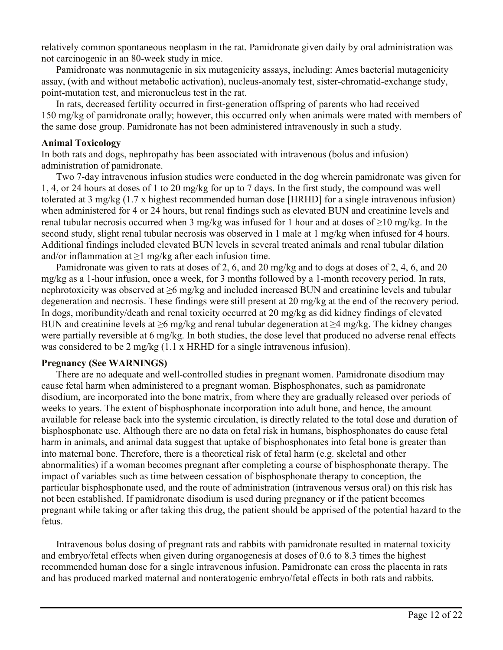relatively common spontaneous neoplasm in the rat. Pamidronate given daily by oral administration was not carcinogenic in an 80-week study in mice.

Pamidronate was nonmutagenic in six mutagenicity assays, including: Ames bacterial mutagenicity assay, (with and without metabolic activation), nucleus-anomaly test, sister-chromatid-exchange study, point-mutation test, and micronucleus test in the rat.

In rats, decreased fertility occurred in first-generation offspring of parents who had received 150 mg/kg of pamidronate orally; however, this occurred only when animals were mated with members of the same dose group. Pamidronate has not been administered intravenously in such a study.

#### **Animal Toxicology**

In both rats and dogs, nephropathy has been associated with intravenous (bolus and infusion) administration of pamidronate.

Two 7-day intravenous infusion studies were conducted in the dog wherein pamidronate was given for 1, 4, or 24 hours at doses of 1 to 20 mg/kg for up to 7 days. In the first study, the compound was well tolerated at 3 mg/kg (1.7 x highest recommended human dose [HRHD] for a single intravenous infusion) when administered for 4 or 24 hours, but renal findings such as elevated BUN and creatinine levels and renal tubular necrosis occurred when 3 mg/kg was infused for 1 hour and at doses of  $\geq 10$  mg/kg. In the second study, slight renal tubular necrosis was observed in 1 male at 1 mg/kg when infused for 4 hours. Additional findings included elevated BUN levels in several treated animals and renal tubular dilation and/or inflammation at  $\geq 1$  mg/kg after each infusion time.

Pamidronate was given to rats at doses of 2, 6, and 20 mg/kg and to dogs at doses of 2, 4, 6, and 20 mg/kg as a 1-hour infusion, once a week, for 3 months followed by a 1-month recovery period. In rats, nephrotoxicity was observed at ≥6 mg/kg and included increased BUN and creatinine levels and tubular degeneration and necrosis. These findings were still present at 20 mg/kg at the end of the recovery period. In dogs, moribundity/death and renal toxicity occurred at 20 mg/kg as did kidney findings of elevated BUN and creatinine levels at  $\geq 6$  mg/kg and renal tubular degeneration at  $\geq 4$  mg/kg. The kidney changes were partially reversible at 6 mg/kg. In both studies, the dose level that produced no adverse renal effects was considered to be 2 mg/kg (1.1 x HRHD for a single intravenous infusion).

## **Pregnancy (See WARNINGS)**

There are no adequate and well-controlled studies in pregnant women. Pamidronate disodium may cause fetal harm when administered to a pregnant woman. Bisphosphonates, such as pamidronate disodium, are incorporated into the bone matrix, from where they are gradually released over periods of weeks to years. The extent of bisphosphonate incorporation into adult bone, and hence, the amount available for release back into the systemic circulation, is directly related to the total dose and duration of bisphosphonate use. Although there are no data on fetal risk in humans, bisphosphonates do cause fetal harm in animals, and animal data suggest that uptake of bisphosphonates into fetal bone is greater than into maternal bone. Therefore, there is a theoretical risk of fetal harm (e.g. skeletal and other abnormalities) if a woman becomes pregnant after completing a course of bisphosphonate therapy. The impact of variables such as time between cessation of bisphosphonate therapy to conception, the particular bisphosphonate used, and the route of administration (intravenous versus oral) on this risk has not been established. If pamidronate disodium is used during pregnancy or if the patient becomes pregnant while taking or after taking this drug, the patient should be apprised of the potential hazard to the fetus.

Intravenous bolus dosing of pregnant rats and rabbits with pamidronate resulted in maternal toxicity and embryo/fetal effects when given during organogenesis at doses of 0.6 to 8.3 times the highest recommended human dose for a single intravenous infusion. Pamidronate can cross the placenta in rats and has produced marked maternal and nonteratogenic embryo/fetal effects in both rats and rabbits.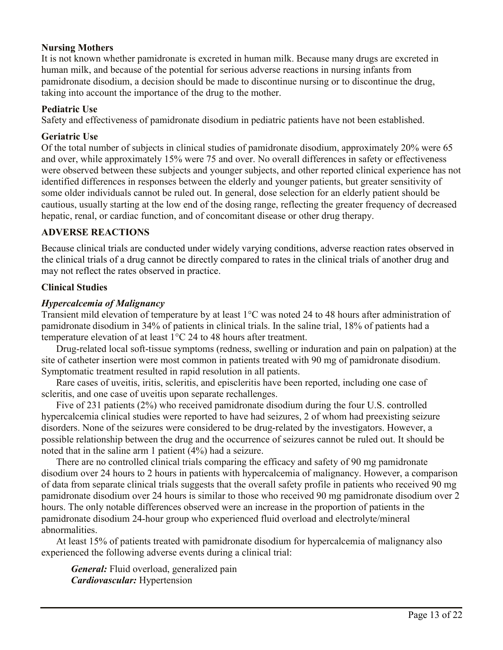## **Nursing Mothers**

It is not known whether pamidronate is excreted in human milk. Because many drugs are excreted in human milk, and because of the potential for serious adverse reactions in nursing infants from pamidronate disodium, a decision should be made to discontinue nursing or to discontinue the drug, taking into account the importance of the drug to the mother.

### **Pediatric Use**

Safety and effectiveness of pamidronate disodium in pediatric patients have not been established.

#### **Geriatric Use**

Of the total number of subjects in clinical studies of pamidronate disodium, approximately 20% were 65 and over, while approximately 15% were 75 and over. No overall differences in safety or effectiveness were observed between these subjects and younger subjects, and other reported clinical experience has not identified differences in responses between the elderly and younger patients, but greater sensitivity of some older individuals cannot be ruled out. In general, dose selection for an elderly patient should be cautious, usually starting at the low end of the dosing range, reflecting the greater frequency of decreased hepatic, renal, or cardiac function, and of concomitant disease or other drug therapy.

# **ADVERSE REACTIONS**

Because clinical trials are conducted under widely varying conditions, adverse reaction rates observed in the clinical trials of a drug cannot be directly compared to rates in the clinical trials of another drug and may not reflect the rates observed in practice.

## **Clinical Studies**

## *Hypercalcemia of Malignancy*

Transient mild elevation of temperature by at least 1°C was noted 24 to 48 hours after administration of pamidronate disodium in 34% of patients in clinical trials. In the saline trial, 18% of patients had a temperature elevation of at least 1°C 24 to 48 hours after treatment.

Drug-related local soft-tissue symptoms (redness, swelling or induration and pain on palpation) at the site of catheter insertion were most common in patients treated with 90 mg of pamidronate disodium. Symptomatic treatment resulted in rapid resolution in all patients.

Rare cases of uveitis, iritis, scleritis, and episcleritis have been reported, including one case of scleritis, and one case of uveitis upon separate rechallenges.

Five of 231 patients (2%) who received pamidronate disodium during the four U.S. controlled hypercalcemia clinical studies were reported to have had seizures, 2 of whom had preexisting seizure disorders. None of the seizures were considered to be drug-related by the investigators. However, a possible relationship between the drug and the occurrence of seizures cannot be ruled out. It should be noted that in the saline arm 1 patient (4%) had a seizure.

There are no controlled clinical trials comparing the efficacy and safety of 90 mg pamidronate disodium over 24 hours to 2 hours in patients with hypercalcemia of malignancy. However, a comparison of data from separate clinical trials suggests that the overall safety profile in patients who received 90 mg pamidronate disodium over 24 hours is similar to those who received 90 mg pamidronate disodium over 2 hours. The only notable differences observed were an increase in the proportion of patients in the pamidronate disodium 24-hour group who experienced fluid overload and electrolyte/mineral abnormalities.

At least 15% of patients treated with pamidronate disodium for hypercalcemia of malignancy also experienced the following adverse events during a clinical trial:

*General:* Fluid overload, generalized pain *Cardiovascular:* Hypertension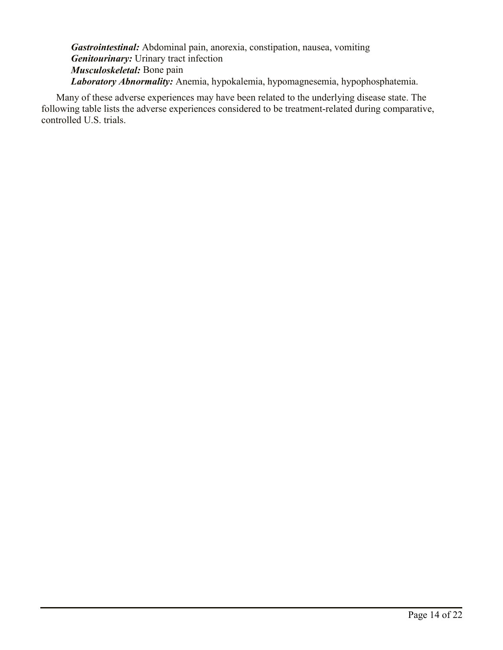*Gastrointestinal:* Abdominal pain, anorexia, constipation, nausea, vomiting *Genitourinary:* Urinary tract infection *Musculoskeletal:* Bone pain *Laboratory Abnormality:* Anemia, hypokalemia, hypomagnesemia, hypophosphatemia.

Many of these adverse experiences may have been related to the underlying disease state. The following table lists the adverse experiences considered to be treatment-related during comparative, controlled U.S. trials.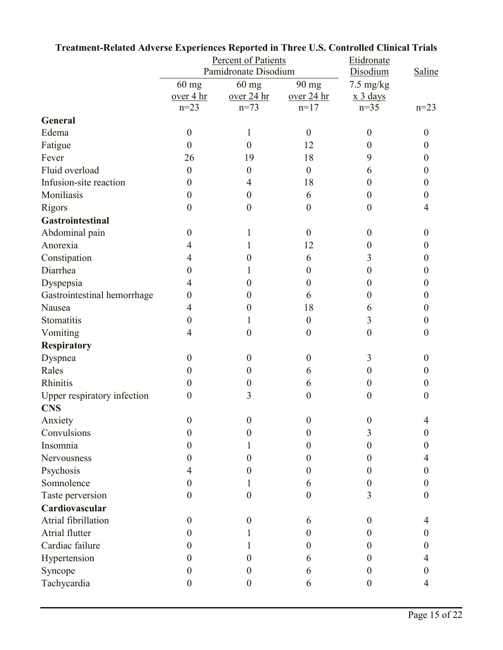|                             |                                | <b>Percent of Patients</b><br>Pamidronate Disodium | Etidronate<br>Disodium | Saline                          |                |
|-----------------------------|--------------------------------|----------------------------------------------------|------------------------|---------------------------------|----------------|
|                             | $60$ mg<br>over $4 \text{ hr}$ | $60$ mg<br>over 24 hr                              | 90 mg<br>over 24 hr    | $7.5 \text{ mg/kg}$<br>x 3 days |                |
|                             | $n = 23$                       | $n = 73$                                           | $n=17$                 | $n=35$                          | $n=23$         |
| General<br>Edema            | $\boldsymbol{0}$               |                                                    | $\boldsymbol{0}$       | $\Omega$                        | $\overline{0}$ |
|                             | $\overline{0}$                 | 1<br>0                                             | 12                     | 0                               | $_{0}$         |
| Fatigue<br>Fever            | 26                             | 19                                                 | 18                     | 9                               | 0              |
| Fluid overload              | $\theta$                       | $\overline{0}$                                     | $\boldsymbol{0}$       | 6                               | $_{0}$         |
| Infusion-site reaction      | 0                              | $\overline{4}$                                     | 18                     | 0                               | 0              |
| Moniliasis                  | $\theta$                       | $\theta$                                           | 6                      | 0                               | $_{0}$         |
| Rigors                      | $\boldsymbol{0}$               | 0                                                  | $\boldsymbol{0}$       | 0                               | 4              |
| Gastrointestinal            |                                |                                                    |                        |                                 |                |
| Abdominal pain              | $\boldsymbol{0}$               |                                                    | $\theta$               | $\theta$                        | 0              |
| Anorexia                    | 4                              |                                                    | 12                     |                                 | 0              |
| Constipation                | 4                              |                                                    | 6                      | 3                               | 0              |
| Diarrhea                    | 0                              |                                                    | $\boldsymbol{0}$       | 0                               | 0              |
| Dyspepsia                   | 4                              | 0                                                  | $\theta$               |                                 | 0              |
| Gastrointestinal hemorrhage | 0                              | 0                                                  | 6                      |                                 | 0              |
| Nausea                      | 4                              | 0                                                  | 18                     | 6                               | $_{0}$         |
| Stomatitis                  | $\theta$                       |                                                    | $\boldsymbol{0}$       | 3                               | 0              |
| Vomiting                    | 4                              | 0                                                  | $\boldsymbol{0}$       | $\overline{0}$                  | $\theta$       |
| <b>Respiratory</b>          |                                |                                                    |                        |                                 |                |
| Dyspnea                     | $\overline{0}$                 | $\theta$                                           | $\theta$               | 3                               | $\theta$       |
| Rales                       | 0                              | 0                                                  | 6                      | 0                               | 0              |
| Rhinitis                    | 0                              | 0                                                  | 6                      | 0                               | 0              |
| Upper respiratory infection | $\boldsymbol{0}$               | 3                                                  | $\boldsymbol{0}$       | $\overline{0}$                  | $\overline{0}$ |
| <b>CNS</b>                  |                                |                                                    |                        |                                 |                |
| Anxiety                     | $\overline{0}$                 | ∩                                                  |                        | 0                               |                |
| Convulsions                 |                                |                                                    | 0                      |                                 | 0              |
| Insomnia                    | 0                              |                                                    | $\theta$               |                                 |                |
| Nervousness                 |                                | 0                                                  | $\theta$               |                                 |                |
| Psychosis                   |                                | 0                                                  | 0                      |                                 | 0              |
| Somnolence                  | 0                              |                                                    | 6                      |                                 | 0              |
| Taste perversion            | 0                              | 0                                                  | $\theta$               | 3                               | 0              |
| Cardiovascular              |                                |                                                    |                        |                                 |                |
| Atrial fibrillation         | $\theta$                       | 0                                                  | 6                      |                                 |                |
| Atrial flutter              |                                |                                                    |                        |                                 |                |
| Cardiac failure             | 0                              |                                                    | 0                      |                                 | 0              |
| Hypertension                |                                | 0                                                  | 6                      |                                 |                |
| Syncope                     | 0                              | 0                                                  | 6                      |                                 | 0              |
| Tachycardia                 | $\boldsymbol{0}$               | $\theta$                                           | 6                      | $\theta$                        | 4              |

# **Treatment-Related Adverse Experiences Reported in Three U.S. Controlled Clinical Trials**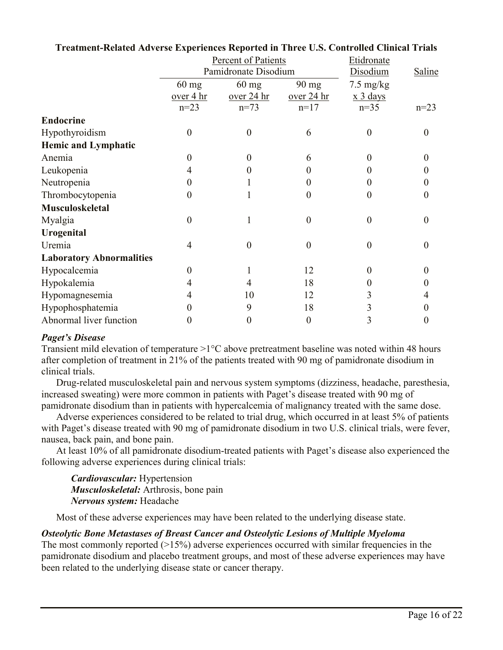|                                 |           | Percent of Patients  |                  | Etidronate          |        |
|---------------------------------|-----------|----------------------|------------------|---------------------|--------|
|                                 |           | Pamidronate Disodium | Disodium         | Saline              |        |
|                                 | $60$ mg   | $60$ mg              | $90 \text{ mg}$  | $7.5 \text{ mg/kg}$ |        |
|                                 | over 4 hr | over 24 hr           | $over 24$ hr     | x 3 days            |        |
|                                 | $n = 23$  | $n=73$               | $n=17$           | $n=35$              | $n=23$ |
| <b>Endocrine</b>                |           |                      |                  |                     |        |
| Hypothyroidism                  | $\Omega$  | $\mathbf{\Omega}$    | 6                | $\Omega$            | 0      |
| <b>Hemic and Lymphatic</b>      |           |                      |                  |                     |        |
| Anemia                          |           |                      | 6                |                     |        |
| Leukopenia                      |           |                      |                  |                     |        |
| Neutropenia                     |           |                      |                  |                     |        |
| Thrombocytopenia                |           |                      |                  |                     |        |
| Musculoskeletal                 |           |                      |                  |                     |        |
| Myalgia                         | $\Omega$  |                      | 0                | $\Omega$            |        |
| <b>Urogenital</b>               |           |                      |                  |                     |        |
| Uremia                          | 4         |                      | 0                | 0                   |        |
| <b>Laboratory Abnormalities</b> |           |                      |                  |                     |        |
| Hypocalcemia                    | 0         |                      | 12               |                     |        |
| Hypokalemia                     |           |                      | 18               |                     |        |
| Hypomagnesemia                  |           | 10                   | 12               |                     |        |
| Hypophosphatemia                |           | 9                    | 18               |                     |        |
| Abnormal liver function         |           |                      | $\boldsymbol{0}$ |                     |        |

# **Treatment-Related Adverse Experiences Reported in Three U.S. Controlled Clinical Trials**

# *Paget's Disease*

Transient mild elevation of temperature >1°C above pretreatment baseline was noted within 48 hours after completion of treatment in 21% of the patients treated with 90 mg of pamidronate disodium in clinical trials.

Drug-related musculoskeletal pain and nervous system symptoms (dizziness, headache, paresthesia, increased sweating) were more common in patients with Paget's disease treated with 90 mg of pamidronate disodium than in patients with hypercalcemia of malignancy treated with the same dose.

Adverse experiences considered to be related to trial drug, which occurred in at least 5% of patients with Paget's disease treated with 90 mg of pamidronate disodium in two U.S. clinical trials, were fever, nausea, back pain, and bone pain.

At least 10% of all pamidronate disodium-treated patients with Paget's disease also experienced the following adverse experiences during clinical trials:

*Cardiovascular:* Hypertension *Musculoskeletal:* Arthrosis, bone pain *Nervous system:* Headache

Most of these adverse experiences may have been related to the underlying disease state.

# *Osteolytic Bone Metastases of Breast Cancer and Osteolytic Lesions of Multiple Myeloma*

The most commonly reported  $(>15%)$  adverse experiences occurred with similar frequencies in the pamidronate disodium and placebo treatment groups, and most of these adverse experiences may have been related to the underlying disease state or cancer therapy.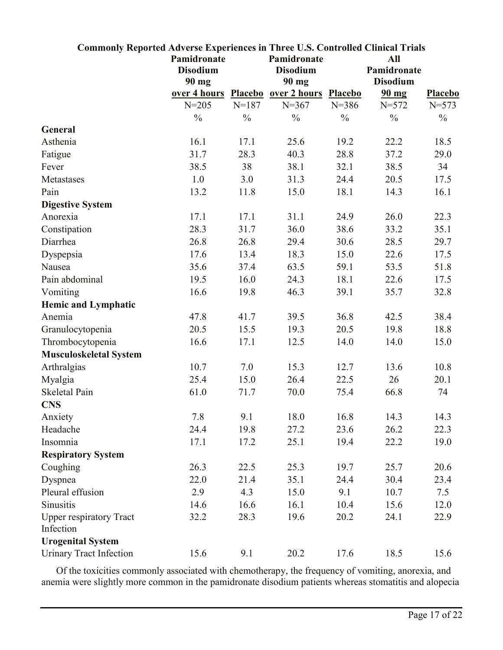| <b>Commonly Reported Adverse Experiences in Three U.S. Controlled Clinical Trials</b> |                 |                |                      |               |                 |               |  |
|---------------------------------------------------------------------------------------|-----------------|----------------|----------------------|---------------|-----------------|---------------|--|
|                                                                                       | Pamidronate     |                | Pamidronate          |               | All             |               |  |
|                                                                                       | <b>Disodium</b> |                | <b>Disodium</b>      |               | Pamidronate     |               |  |
|                                                                                       | 90 mg           |                | 90 mg                |               | <b>Disodium</b> |               |  |
|                                                                                       | over 4 hours    | <b>Placebo</b> | over 2 hours Placebo |               | 90 mg           | Placebo       |  |
|                                                                                       | $N = 205$       | $N=187$        | $N = 367$            | $N = 386$     | $N = 572$       | $N = 573$     |  |
|                                                                                       | $\frac{0}{0}$   | $\frac{0}{0}$  | $\frac{0}{0}$        | $\frac{0}{0}$ | $\frac{0}{0}$   | $\frac{0}{0}$ |  |
| General                                                                               |                 |                |                      |               |                 |               |  |
| Asthenia                                                                              | 16.1            | 17.1           | 25.6                 | 19.2          | 22.2            | 18.5          |  |
| Fatigue                                                                               | 31.7            | 28.3           | 40.3                 | 28.8          | 37.2            | 29.0          |  |
| Fever                                                                                 | 38.5            | 38             | 38.1                 | 32.1          | 38.5            | 34            |  |
| Metastases                                                                            | 1.0             | 3.0            | 31.3                 | 24.4          | 20.5            | 17.5          |  |
| Pain                                                                                  | 13.2            | 11.8           | 15.0                 | 18.1          | 14.3            | 16.1          |  |
| <b>Digestive System</b>                                                               |                 |                |                      |               |                 |               |  |
| Anorexia                                                                              | 17.1            | 17.1           | 31.1                 | 24.9          | 26.0            | 22.3          |  |
| Constipation                                                                          | 28.3            | 31.7           | 36.0                 | 38.6          | 33.2            | 35.1          |  |
| Diarrhea                                                                              | 26.8            | 26.8           | 29.4                 | 30.6          | 28.5            | 29.7          |  |
| Dyspepsia                                                                             | 17.6            | 13.4           | 18.3                 | 15.0          | 22.6            | 17.5          |  |
| Nausea                                                                                | 35.6            | 37.4           | 63.5                 | 59.1          | 53.5            | 51.8          |  |
| Pain abdominal                                                                        | 19.5            | 16.0           | 24.3                 | 18.1          | 22.6            | 17.5          |  |
| Vomiting                                                                              | 16.6            | 19.8           | 46.3                 | 39.1          | 35.7            | 32.8          |  |
| <b>Hemic and Lymphatic</b>                                                            |                 |                |                      |               |                 |               |  |
| Anemia                                                                                | 47.8            | 41.7           | 39.5                 | 36.8          | 42.5            | 38.4          |  |
| Granulocytopenia                                                                      | 20.5            | 15.5           | 19.3                 | 20.5          | 19.8            | 18.8          |  |
| Thrombocytopenia                                                                      | 16.6            | 17.1           | 12.5                 | 14.0          | 14.0            | 15.0          |  |
| <b>Musculoskeletal System</b>                                                         |                 |                |                      |               |                 |               |  |
| Arthralgias                                                                           | 10.7            | 7.0            | 15.3                 | 12.7          | 13.6            | 10.8          |  |
| Myalgia                                                                               | 25.4            | 15.0           | 26.4                 | 22.5          | 26              | 20.1          |  |
| <b>Skeletal Pain</b>                                                                  | 61.0            | 71.7           | 70.0                 | 75.4          | 66.8            | 74            |  |
| <b>CNS</b>                                                                            |                 |                |                      |               |                 |               |  |
| Anxiety                                                                               | 7.8             | 9.1            | 18.0                 | 16.8          | 14.3            | 14.3          |  |
| Headache                                                                              | 24.4            | 19.8           | 27.2                 | 23.6          | 26.2            | 22.3          |  |
| Insomnia                                                                              | 17.1            | 17.2           | 25.1                 | 19.4          | 22.2            | 19.0          |  |
| <b>Respiratory System</b>                                                             |                 |                |                      |               |                 |               |  |
| Coughing                                                                              | 26.3            | 22.5           | 25.3                 | 19.7          | 25.7            | 20.6          |  |
| Dyspnea                                                                               | 22.0            | 21.4           | 35.1                 | 24.4          | 30.4            | 23.4          |  |
| Pleural effusion                                                                      | 2.9             | 4.3            | 15.0                 | 9.1           | 10.7            | 7.5           |  |
| Sinusitis                                                                             | 14.6            | 16.6           | 16.1                 | 10.4          | 15.6            | 12.0          |  |
| <b>Upper respiratory Tract</b>                                                        | 32.2            | 28.3           | 19.6                 | 20.2          | 24.1            | 22.9          |  |
| Infection                                                                             |                 |                |                      |               |                 |               |  |
| <b>Urogenital System</b>                                                              |                 |                |                      |               |                 |               |  |
| <b>Urinary Tract Infection</b>                                                        | 15.6            | 9.1            | 20.2                 | 17.6          | 18.5            | 15.6          |  |
|                                                                                       |                 |                |                      |               |                 |               |  |

Of the toxicities commonly associated with chemotherapy, the frequency of vomiting, anorexia, and anemia were slightly more common in the pamidronate disodium patients whereas stomatitis and alopecia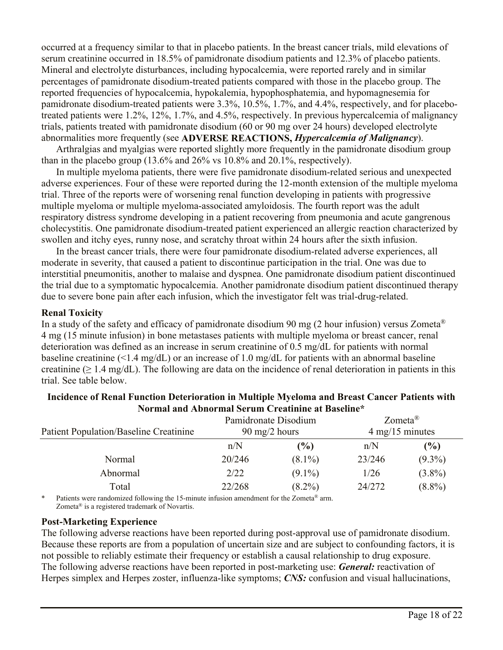occurred at a frequency similar to that in placebo patients. In the breast cancer trials, mild elevations of serum creatinine occurred in 18.5% of pamidronate disodium patients and 12.3% of placebo patients. Mineral and electrolyte disturbances, including hypocalcemia, were reported rarely and in similar percentages of pamidronate disodium-treated patients compared with those in the placebo group. The reported frequencies of hypocalcemia, hypokalemia, hypophosphatemia, and hypomagnesemia for pamidronate disodium-treated patients were 3.3%, 10.5%, 1.7%, and 4.4%, respectively, and for placebotreated patients were 1.2%, 12%, 1.7%, and 4.5%, respectively. In previous hypercalcemia of malignancy trials, patients treated with pamidronate disodium (60 or 90 mg over 24 hours) developed electrolyte abnormalities more frequently (see **ADVERSE REACTIONS,** *Hypercalcemia of Malignancy*).

Arthralgias and myalgias were reported slightly more frequently in the pamidronate disodium group than in the placebo group  $(13.6\% \text{ and } 26\% \text{ vs } 10.8\% \text{ and } 20.1\% \text{, respectively}).$ 

In multiple myeloma patients, there were five pamidronate disodium-related serious and unexpected adverse experiences. Four of these were reported during the 12-month extension of the multiple myeloma trial. Three of the reports were of worsening renal function developing in patients with progressive multiple myeloma or multiple myeloma-associated amyloidosis. The fourth report was the adult respiratory distress syndrome developing in a patient recovering from pneumonia and acute gangrenous cholecystitis. One pamidronate disodium-treated patient experienced an allergic reaction characterized by swollen and itchy eyes, runny nose, and scratchy throat within 24 hours after the sixth infusion.

In the breast cancer trials, there were four pamidronate disodium-related adverse experiences, all moderate in severity, that caused a patient to discontinue participation in the trial. One was due to interstitial pneumonitis, another to malaise and dyspnea. One pamidronate disodium patient discontinued the trial due to a symptomatic hypocalcemia. Another pamidronate disodium patient discontinued therapy due to severe bone pain after each infusion, which the investigator felt was trial-drug-related.

#### **Renal Toxicity**

In a study of the safety and efficacy of pamidronate disodium 90 mg (2 hour infusion) versus Zometa<sup>®</sup> 4 mg (15 minute infusion) in bone metastases patients with multiple myeloma or breast cancer, renal deterioration was defined as an increase in serum creatinine of 0.5 mg/dL for patients with normal baseline creatinine ( $\leq 1.4$  mg/dL) or an increase of 1.0 mg/dL for patients with an abnormal baseline creatinine ( $\geq 1.4$  mg/dL). The following are data on the incidence of renal deterioration in patients in this trial. See table below.

| <b>Patient Population/Baseline Creatinine</b> |        | Pamidronate Disodium<br>$90 \text{ mg}/2 \text{ hours}$ | Zometa <sup>®</sup><br>$4 \text{ mg}/15 \text{ minutes}$ |           |  |
|-----------------------------------------------|--------|---------------------------------------------------------|----------------------------------------------------------|-----------|--|
|                                               | n/N    | (%)                                                     | n/N                                                      | (%)       |  |
| Normal                                        | 20/246 | $(8.1\%)$                                               | 23/246                                                   | $(9.3\%)$ |  |
| Abnormal                                      | 2/22   | $(9.1\%)$                                               | 1/26                                                     | $(3.8\%)$ |  |
| Total                                         | 22/268 | $(8.2\%)$                                               | 24/272                                                   | $(8.8\%)$ |  |

# **Incidence of Renal Function Deterioration in Multiple Myeloma and Breast Cancer Patients with Normal and Abnormal Serum Creatinine at Baseline\***

Patients were randomized following the 15-minute infusion amendment for the Zometa<sup>®</sup> arm. Zometa® is a registered trademark of Novartis.

#### **Post-Marketing Experience**

The following adverse reactions have been reported during post-approval use of pamidronate disodium. Because these reports are from a population of uncertain size and are subject to confounding factors, it is not possible to reliably estimate their frequency or establish a causal relationship to drug exposure. The following adverse reactions have been reported in post-marketing use: *General:* reactivation of Herpes simplex and Herpes zoster, influenza-like symptoms; *CNS:* confusion and visual hallucinations,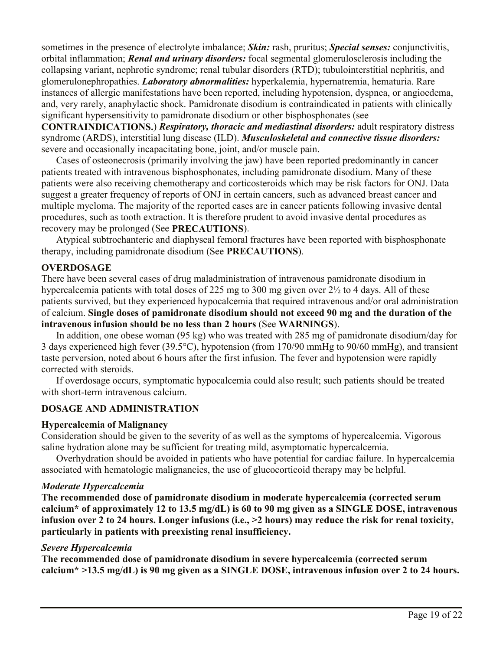sometimes in the presence of electrolyte imbalance; *Skin:* rash, pruritus; *Special senses:* conjunctivitis, orbital inflammation; *Renal and urinary disorders:* focal segmental glomerulosclerosis including the collapsing variant, nephrotic syndrome; renal tubular disorders (RTD); tubulointerstitial nephritis, and glomerulonephropathies. *Laboratory abnormalities:* hyperkalemia, hypernatremia, hematuria. Rare instances of allergic manifestations have been reported, including hypotension, dyspnea, or angioedema, and, very rarely, anaphylactic shock. Pamidronate disodium is contraindicated in patients with clinically significant hypersensitivity to pamidronate disodium or other bisphosphonates (see

**CONTRAINDICATIONS.**) *Respiratory, thoracic and mediastinal disorders:* adult respiratory distress syndrome (ARDS), interstitial lung disease (ILD). *Musculoskeletal and connective tissue disorders:* severe and occasionally incapacitating bone, joint, and/or muscle pain.

Cases of osteonecrosis (primarily involving the jaw) have been reported predominantly in cancer patients treated with intravenous bisphosphonates, including pamidronate disodium. Many of these patients were also receiving chemotherapy and corticosteroids which may be risk factors for ONJ. Data suggest a greater frequency of reports of ONJ in certain cancers, such as advanced breast cancer and multiple myeloma. The majority of the reported cases are in cancer patients following invasive dental procedures, such as tooth extraction. It is therefore prudent to avoid invasive dental procedures as recovery may be prolonged (See **PRECAUTIONS**).

Atypical subtrochanteric and diaphyseal femoral fractures have been reported with bisphosphonate therapy, including pamidronate disodium (See **PRECAUTIONS**).

### **OVERDOSAGE**

There have been several cases of drug maladministration of intravenous pamidronate disodium in hypercalcemia patients with total doses of 225 mg to 300 mg given over 2½ to 4 days. All of these patients survived, but they experienced hypocalcemia that required intravenous and/or oral administration of calcium. **Single doses of pamidronate disodium should not exceed 90 mg and the duration of the intravenous infusion should be no less than 2 hours** (See **WARNINGS**).

In addition, one obese woman (95 kg) who was treated with 285 mg of pamidronate disodium/day for 3 days experienced high fever (39.5°C), hypotension (from 170/90 mmHg to 90/60 mmHg), and transient taste perversion, noted about 6 hours after the first infusion. The fever and hypotension were rapidly corrected with steroids.

If overdosage occurs, symptomatic hypocalcemia could also result; such patients should be treated with short-term intravenous calcium.

## **DOSAGE AND ADMINISTRATION**

#### **Hypercalcemia of Malignancy**

Consideration should be given to the severity of as well as the symptoms of hypercalcemia. Vigorous saline hydration alone may be sufficient for treating mild, asymptomatic hypercalcemia.

Overhydration should be avoided in patients who have potential for cardiac failure. In hypercalcemia associated with hematologic malignancies, the use of glucocorticoid therapy may be helpful.

#### *Moderate Hypercalcemia*

**The recommended dose of pamidronate disodium in moderate hypercalcemia (corrected serum calcium\* of approximately 12 to 13.5 mg/dL) is 60 to 90 mg given as a SINGLE DOSE, intravenous infusion over 2 to 24 hours. Longer infusions (i.e., >2 hours) may reduce the risk for renal toxicity, particularly in patients with preexisting renal insufficiency.**

#### *Severe Hypercalcemia*

**The recommended dose of pamidronate disodium in severe hypercalcemia (corrected serum calcium\* >13.5 mg/dL) is 90 mg given as a SINGLE DOSE, intravenous infusion over 2 to 24 hours.**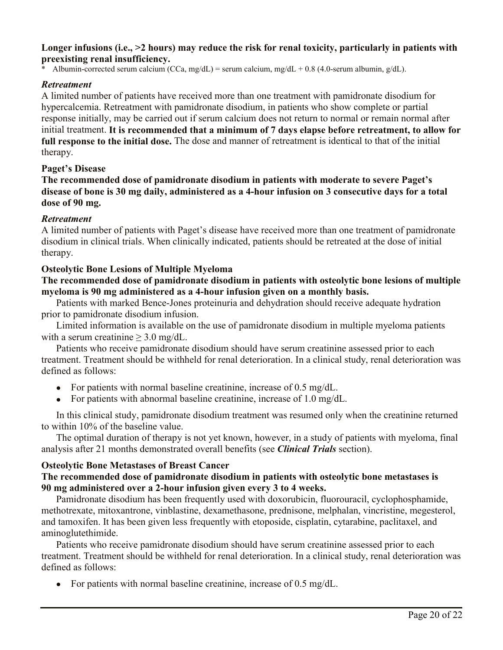## **Longer infusions (i.e., >2 hours) may reduce the risk for renal toxicity, particularly in patients with preexisting renal insufficiency.**

Albumin-corrected serum calcium (CCa, mg/dL) = serum calcium, mg/dL + 0.8 (4.0-serum albumin, g/dL).

#### *Retreatment*

A limited number of patients have received more than one treatment with pamidronate disodium for hypercalcemia. Retreatment with pamidronate disodium, in patients who show complete or partial response initially, may be carried out if serum calcium does not return to normal or remain normal after initial treatment. **It is recommended that a minimum of 7 days elapse before retreatment, to allow for full response to the initial dose.** The dose and manner of retreatment is identical to that of the initial therapy.

## **Paget's Disease**

**The recommended dose of pamidronate disodium in patients with moderate to severe Paget's disease of bone is 30 mg daily, administered as a 4-hour infusion on 3 consecutive days for a total dose of 90 mg.**

### *Retreatment*

A limited number of patients with Paget's disease have received more than one treatment of pamidronate disodium in clinical trials. When clinically indicated, patients should be retreated at the dose of initial therapy.

## **Osteolytic Bone Lesions of Multiple Myeloma**

## **The recommended dose of pamidronate disodium in patients with osteolytic bone lesions of multiple myeloma is 90 mg administered as a 4-hour infusion given on a monthly basis.**

Patients with marked Bence-Jones proteinuria and dehydration should receive adequate hydration prior to pamidronate disodium infusion.

Limited information is available on the use of pamidronate disodium in multiple myeloma patients with a serum creatinine  $\geq 3.0$  mg/dL.

Patients who receive pamidronate disodium should have serum creatinine assessed prior to each treatment. Treatment should be withheld for renal deterioration. In a clinical study, renal deterioration was defined as follows:

- For patients with normal baseline creatinine, increase of 0.5 mg/dL.
- For patients with abnormal baseline creatinine, increase of  $1.0 \text{ mg/dL}$ .

In this clinical study, pamidronate disodium treatment was resumed only when the creatinine returned to within 10% of the baseline value.

The optimal duration of therapy is not yet known, however, in a study of patients with myeloma, final analysis after 21 months demonstrated overall benefits (see *Clinical Trials* section).

## **Osteolytic Bone Metastases of Breast Cancer**

### **The recommended dose of pamidronate disodium in patients with osteolytic bone metastases is 90 mg administered over a 2-hour infusion given every 3 to 4 weeks.**

Pamidronate disodium has been frequently used with doxorubicin, fluorouracil, cyclophosphamide, methotrexate, mitoxantrone, vinblastine, dexamethasone, prednisone, melphalan, vincristine, megesterol, and tamoxifen. It has been given less frequently with etoposide, cisplatin, cytarabine, paclitaxel, and aminoglutethimide.

Patients who receive pamidronate disodium should have serum creatinine assessed prior to each treatment. Treatment should be withheld for renal deterioration. In a clinical study, renal deterioration was defined as follows:

• For patients with normal baseline creatinine, increase of 0.5 mg/dL.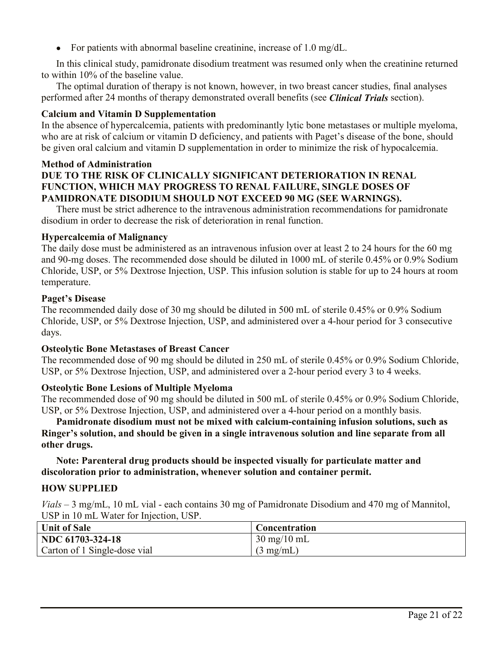• For patients with abnormal baseline creatinine, increase of 1.0 mg/dL.

In this clinical study, pamidronate disodium treatment was resumed only when the creatinine returned to within 10% of the baseline value.

The optimal duration of therapy is not known, however, in two breast cancer studies, final analyses performed after 24 months of therapy demonstrated overall benefits (see *Clinical Trials* section).

#### **Calcium and Vitamin D Supplementation**

In the absence of hypercalcemia, patients with predominantly lytic bone metastases or multiple myeloma, who are at risk of calcium or vitamin D deficiency, and patients with Paget's disease of the bone, should be given oral calcium and vitamin D supplementation in order to minimize the risk of hypocalcemia.

#### **Method of Administration DUE TO THE RISK OF CLINICALLY SIGNIFICANT DETERIORATION IN RENAL FUNCTION, WHICH MAY PROGRESS TO RENAL FAILURE, SINGLE DOSES OF PAMIDRONATE DISODIUM SHOULD NOT EXCEED 90 MG (SEE WARNINGS).**

There must be strict adherence to the intravenous administration recommendations for pamidronate disodium in order to decrease the risk of deterioration in renal function.

### **Hypercalcemia of Malignancy**

The daily dose must be administered as an intravenous infusion over at least 2 to 24 hours for the 60 mg and 90-mg doses. The recommended dose should be diluted in 1000 mL of sterile 0.45% or 0.9% Sodium Chloride, USP, or 5% Dextrose Injection, USP. This infusion solution is stable for up to 24 hours at room temperature.

#### **Paget's Disease**

The recommended daily dose of 30 mg should be diluted in 500 mL of sterile 0.45% or 0.9% Sodium Chloride, USP, or 5% Dextrose Injection, USP, and administered over a 4-hour period for 3 consecutive days.

#### **Osteolytic Bone Metastases of Breast Cancer**

The recommended dose of 90 mg should be diluted in 250 mL of sterile 0.45% or 0.9% Sodium Chloride, USP, or 5% Dextrose Injection, USP, and administered over a 2-hour period every 3 to 4 weeks.

#### **Osteolytic Bone Lesions of Multiple Myeloma**

The recommended dose of 90 mg should be diluted in 500 mL of sterile 0.45% or 0.9% Sodium Chloride, USP, or 5% Dextrose Injection, USP, and administered over a 4-hour period on a monthly basis.

**Pamidronate disodium must not be mixed with calcium-containing infusion solutions, such as Ringer's solution, and should be given in a single intravenous solution and line separate from all other drugs.**

**Note: Parenteral drug products should be inspected visually for particulate matter and discoloration prior to administration, whenever solution and container permit.**

#### **HOW SUPPLIED**

*Vials* – 3 mg/mL, 10 mL vial - each contains 30 mg of Pamidronate Disodium and 470 mg of Mannitol, USP in 10 mL Water for Injection, USP.

| <b>Unit of Sale</b>          | <b>Concentration</b>          |
|------------------------------|-------------------------------|
| NDC 61703-324-18             | $30 \text{ mg}/10 \text{ mL}$ |
| Carton of 1 Single-dose vial | $(3 \text{ mg/mL})$           |